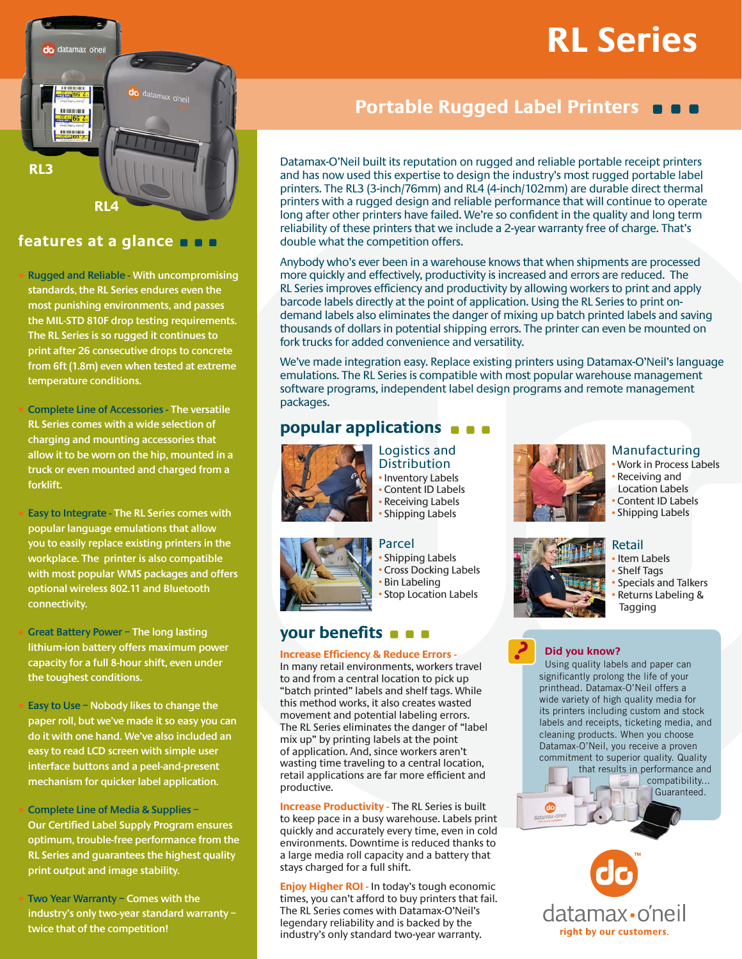# **RL Series**



### **features at a glance**

s**Rugged and Reliable - With uncompromising standards, the RL Series endures even the most punishing environments, and passes the MIL-STD 810F drop testing requirements. The RL Series is so rugged it continues to print after 26 consecutive drops to concrete from 6ft (1.8m) even when tested at extreme temperature conditions.** 

**Complete Line of Accessories - The versatile RL Series comes with a wide selection of charging and mounting accessories that allow it to be worn on the hip, mounted in a truck or even mounted and charged from a forklift.**

**Easy to Integrate - The RL Series comes with popular language emulations that allow you to easily replace existing printers in the workplace. The printer is also compatible with most popular WMS packages and offers optional wireless 802.11 and Bluetooth connectivity.** 

**Great Battery Power - The long lasting lithium-ion battery offers maximum power capacity for a full 8-hour shift, even under the toughest conditions.** 

Easy to Use – Nobody likes to change the **paper roll, but we've made it so easy you can do it with one hand. We've also included an easy to read LCD screen with simple user interface buttons and a peel-and-present mechanism for quicker label application.**

s**Complete Line of Media & Supplies – Our Certified Label Supply Program ensures optimum, trouble-free performance from the RL Series and guarantees the highest quality print output and image stability.**

Two Year Warranty – Comes with the **industry's only two-year standard warranty – twice that of the competition!**

## **Portable Rugged Label Printers Q Q Q**

Datamax-O'Neil built its reputation on rugged and reliable portable receipt printers and has now used this expertise to design the industry's most rugged portable label printers. The RL3 (3-inch/76mm) and RL4 (4-inch/102mm) are durable direct thermal printers with a rugged design and reliable performance that will continue to operate long after other printers have failed. We're so confident in the quality and long term reliability of these printers that we include a 2-year warranty free of charge. That's double what the competition offers.

Anybody who's ever been in a warehouse knows that when shipments are processed more quickly and effectively, productivity is increased and errors are reduced. The RL Series improves efficiency and productivity by allowing workers to print and apply barcode labels directly at the point of application. Using the RL Series to print ondemand labels also eliminates the danger of mixing up batch printed labels and saving thousands of dollars in potential shipping errors. The printer can even be mounted on fork trucks for added convenience and versatility.

We've made integration easy. Replace existing printers using Datamax-O'Neil's language emulations. The RL Series is compatible with most popular warehouse management software programs, independent label design programs and remote management packages.

### **popular applications**



Logistics and **Distribution** • Inventory Labels Content ID Labels • Receiving Labels • Shipping Labels



### Manufacturing

**Work in Process Labels** Receiving and Location Labels • Content ID Labels



### • Item Labels

Retail

- **· Shelf Tags**
- <sup>s</sup> Specials and Talkers <sup>s</sup> Returns Labeling & Tagging



?

#### **Did you know?**

Using quality labels and paper can significantly prolong the life of your printhead. Datamax-O'Neil offers a wide variety of high quality media for its printers including custom and stock labels and receipts, ticketing media, and cleaning products. When you choose Datamax-O'Neil, you receive a proven commitment to superior quality. Quality







Parcel • Shipping Labels **Cross Docking Labels Bin Labeling · Stop Location Labels** 

### **your benefits**

**Increase Efficiency & Reduce Errors -**  In many retail environments, workers travel to and from a central location to pick up "batch printed" labels and shelf tags. While this method works, it also creates wasted movement and potential labeling errors. The RL Series eliminates the danger of "label mix up" by printing labels at the point of application. And, since workers aren't

wasting time traveling to a central location, retail applications are far more efficient and productive.

**Increase Productivity - The RL Series is built** to keep pace in a busy warehouse. Labels print quickly and accurately every time, even in cold environments. Downtime is reduced thanks to a large media roll capacity and a battery that stays charged for a full shift.

**Enjoy Higher ROI -** In today's tough economic times, you can't afford to buy printers that fail. The RL Series comes with Datamax-O'Neil's legendary reliability and is backed by the industry's only standard two-year warranty.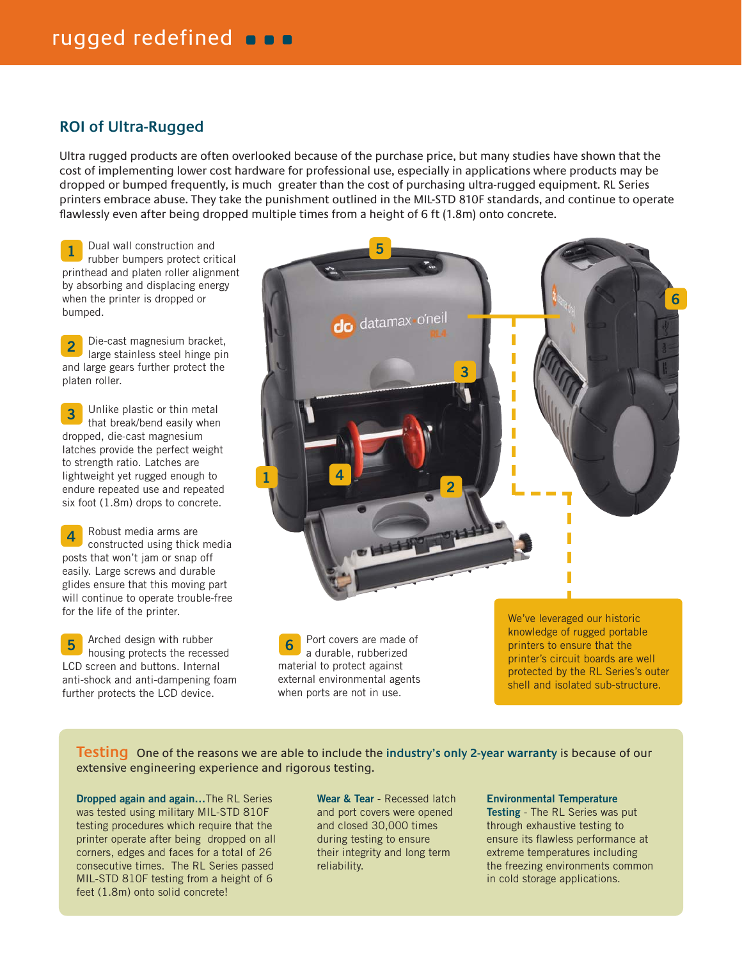### **ROI of Ultra-Rugged**

Ultra rugged products are often overlooked because of the purchase price, but many studies have shown that the cost of implementing lower cost hardware for professional use, especially in applications where products may be dropped or bumped frequently, is much greater than the cost of purchasing ultra-rugged equipment. RL Series printers embrace abuse. They take the punishment outlined in the MIL-STD 810F standards, and continue to operate flawlessly even after being dropped multiple times from a height of 6 ft (1.8m) onto concrete.

Dual wall construction and rubber bumpers protect critical printhead and platen roller alignment by absorbing and displacing energy when the printer is dropped or bumped. **1**

Die-cast magnesium bracket, large stainless steel hinge pin and large gears further protect the platen roller. **2**

Unlike plastic or thin metal that break/bend easily when dropped, die-cast magnesium latches provide the perfect weight to strength ratio. Latches are lightweight yet rugged enough to endure repeated use and repeated six foot (1.8m) drops to concrete. **3**

Robust media arms are constructed using thick media posts that won't jam or snap off easily. Large screws and durable glides ensure that this moving part will continue to operate trouble-free for the life of the printer. **4**

Arched design with rubber **5 housing** protects the recessed LCD screen and buttons. Internal anti-shock and anti-dampening foam further protects the LCD device.



Port covers are made of a durable, rubberized material to protect against external environmental agents when ports are not in use.

We've leveraged our historic knowledge of rugged portable printers to ensure that the printer's circuit boards are well protected by the RL Series's outer shell and isolated sub-structure.

**Testing** One of the reasons we are able to include the **industry's only 2-year warranty** is because of our extensive engineering experience and rigorous testing.

**Dropped again and again...The RL Series** was tested using military MIL-STD 810F testing procedures which require that the printer operate after being dropped on all corners, edges and faces for a total of 26 consecutive times. The RL Series passed MIL-STD 810F testing from a height of 6 feet (1.8m) onto solid concrete!

Wear & Tear - Recessed latch and port covers were opened and closed 30,000 times during testing to ensure their integrity and long term reliability.

**Environmental Temperature** 

**Testing** - The RL Series was put through exhaustive testing to ensure its flawless performance at extreme temperatures including the freezing environments common in cold storage applications.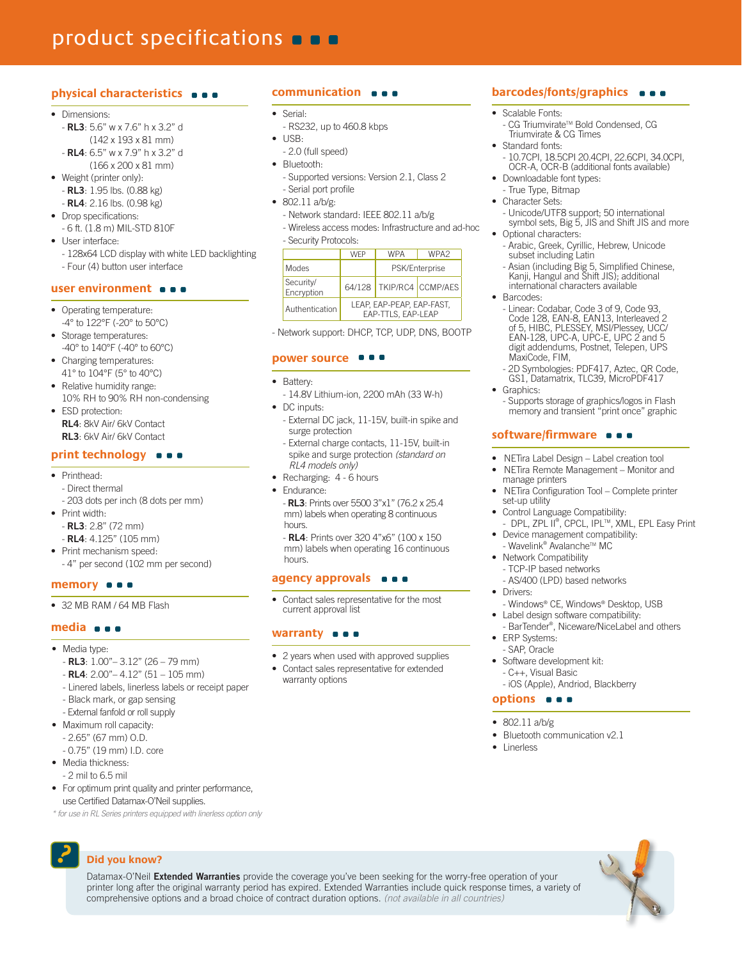# product specifications **o a**

#### physical characteristics  $\bullet \bullet$

#### · Dimensions

- RL3: 5.6" w x 7.6" h x 3.2" d
- $(142 \times 193 \times 81 \text{ mm})$ - RL4: 6.5" w x 7.9" h x 3.2" d
- $(166 \times 200 \times 81 \text{ mm})$
- Weight (printer only): - RL3: 1.95 lbs. (0.88 kg)
- **RL4**: 2.16 lbs. (0.98 kg)
- Drop specifications: - 6 ft. (1.8 m) MIL-STD 810F
- $\bullet$  I Iser interface. - 128x64 LCD display with white LED backlighting
	- Four (4) button user interface

#### user environment  $\bullet \bullet \bullet$

- Operating temperature: -4° to 122°F (-20° to 50°C)
- Storage temperatures: -40° to 140°F (-40° to 60°C)
- Charging temperatures: 41° to 104°F (5° to 40°C)
- Relative humidity range: 10% RH to 90% RH non-condensing
- ESD protection: RL4: 8kV Air/ 6kV Contact RL3: 6kV Air/ 6kV Contact

#### print technology  $\bullet \bullet \bullet$

- Printhead:
- Direct thermal - 203 dots per inch (8 dots per mm)
- Print width:
	- $-RL3: 2.8" (72 mm)$  $-$  RL4: 4.125" (105 mm)
- Print mechanism speed:
- 4" per second (102 mm per second)
- memory **o a**
- 32 MB RAM / 64 MB Flash

#### media  $\bullet \bullet \bullet$

- Media type:
	- $-RL3: 1.00" 3.12" (26 79 mm)$
	- $-RL4: 2.00'' 4.12'' (51 105$  mm)
	- Linered labels, linerless labels or receipt paper
	- Black mark, or gap sensing
	- External fanfold or roll supply
- Maximum roll capacity:
	- $-2.65"$  (67 mm) O.D.
	- 0.75" (19 mm) I.D. core
- Media thickness·
- 2 mil to 6.5 mil
- For optimum print quality and printer performance, use Certified Datamax-O'Neil supplies.

\* for use in RL Series printers equipped with linerless option only

### Did you know?

#### communication  $\bullet \bullet$

#### Serial·  $\bullet$

- RS232, up to 460.8 kbps
- $\bullet$  $USB$
- 2.0 (full speed)
- · Bluetooth:
	- Supported versions: Version 2.1, Class 2 - Serial port profile
- $\bullet$  802.11 a/b/g:
	- Network standard: IEEE 802.11 a/b/g
	- Wireless access modes: Infrastructure and ad-hoc - Security Protocols:

|                         | <b>WEP</b>                                      | <b>WPA</b>     | WPA <sub>2</sub>           |
|-------------------------|-------------------------------------------------|----------------|----------------------------|
| <b>Modes</b>            |                                                 | PSK/Enterprise |                            |
| Security/<br>Encryption |                                                 |                | 64/128   TKIP/RC4 CCMP/AES |
| Authentication          | LEAP, EAP-PEAP, EAP-FAST,<br>EAP-TTLS. EAP-LEAP |                |                            |

- Network support: DHCP, TCP, UDP, DNS, BOOTP

#### power source ■■■

- Rattery·
- 14.8V Lithium-ion, 2200 mAh (33 W-h)
- DC inputs:
	- External DC jack, 11-15V, built-in spike and surge protection
	- External charge contacts, 11-15V, built-in spike and surge protection (standard on RL4 models only)
- Recharging: 4 6 hours
- · Endurance-
	- RL3: Prints over 5500 3"x1" (76.2 x 25.4) mm) labels when operating 8 continuous hours

- RL4: Prints over 320 4"x6" (100 x 150) mm) labels when operating 16 continuous hours

#### agency approvals  $\bullet$   $\bullet$

Contact sales representative for the most current approval list

#### warranty  $\bullet \bullet \bullet$

Datamax-O'Neil Extended Warranties provide the coverage you've been seeking for the worry-free operation of your printer long after the original warranty period has expired. Extended Warranties include quick response times, a variety of

comprehensive options and a broad choice of contract duration options. (not available in all countries)

- 2 years when used with approved supplies
- Contact sales representative for extended warranty options

#### barcodes/fonts/graphics  $\bullet \bullet$

- $\bullet$ Scalable Fonts:
	- CG Triumvirate™ Bold Condensed, CG Triumvirate & CG Times
- Standard fonts:
- 10.7CPI, 18.5CPI 20.4CPI, 22.6CPI, 34.0CPI, OCR-A, OCR-B (additional fonts available)
- Downloadable font types: - True Type, Bitmap
- Character Sets:
- Unicode/UTF8 support; 50 international symbol sets, Big 5, JIS and Shift JIS and more Optional characters:
- Arabic, Greek, Cyrillic, Hebrew, Unicode subset including Latin
- Asian (including Big 5, Simplified Chinese,<br>Kanji, Hangul and Shift JIS); additional
- international characters available Barcodes:
- Linear: Codabar, Code 3 of 9, Code 93,<br>Code 128, EAN-8, EAN13, Interleaved 2 of 5, HIBC, PLESSEY, MSI/Plessey, UCC/ EAN-128, UPC-A, UPC-E, UPC 2 and 5 digit addendums, Postnet, Telepen, UPS MaxiCode, FIM,
- 2D Symbologies: PDF417, Aztec, QR Code,<br>GS1, Datamatrix, TLC39, MicroPDF417
- Graphics:
	- Supports storage of graphics/logos in Flash memory and transient "print once" graphic

#### software/firmware  $\bullet$   $\bullet$

- NETira Label Design Label creation tool
- NETira Remote Management Monitor and manage printers
- NETira Configuration Tool Complete printer set-up utility
- Control Language Compatibility: DPL, ZPL II®, CPCL, IPL™, XML, EPL Easy Print
- Device management compatibility: - Wavelink® Avalanche™ MC
- Network Compatibility
- TCP-IP based networks
- AS/400 (LPD) based networks Drivers:
- 
- Windows® CE, Windows® Desktop, USB Label design software compatibility:
- BarTender®, Niceware/NiceLabel and others ERP Systems:
- SAP. Oracle
- · Software development kit: - C++. Visual Basic

· Bluetooth communication v2.1

- iOS (Apple), Andriod, Blackberry

#### options  $\bullet$   $\bullet$

802.11 a/b/g

Linerless